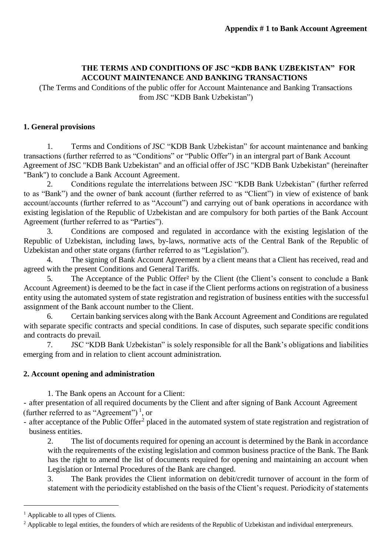## **THE TERMS AND CONDITIONS OF JSC "KDB BANK UZBEKISTAN" FOR ACCOUNT MAINTENANCE AND BANKING TRANSACTIONS**

(The Terms and Conditions of the public offer for Account Maintenance and Banking Transactions from JSC "KDB Bank Uzbekistan")

### **1. General provisions**

1. Terms and Conditions of JSC "KDB Bank Uzbekistan" for account maintenance and banking transactions (further referred to as "Conditions" or "Public Offer") in an intergral part of Bank Account Agreement of JSC "KDB Bank Uzbekistan" and an official offer of JSC "KDB Bank Uzbekistan" (hereinafter "Bank") to conclude a Bank Account Agreement.

2. Conditions regulate the interrelations between JSC "KDB Bank Uzbekistan" (further referred to as "Bank") and the owner of bank account (further referred to as "Client") in view of existence of bank account/accounts (further referred to as "Account") and carrying out of bank operations in accordance with existing legislation of the Republic of Uzbekistan and are compulsory for both parties of the Bank Account Agreement (further referred to as "Parties").

3. Conditions are composed and regulated in accordance with the existing legislation of the Republic of Uzbekistan, including laws, by-laws, normative acts of the Central Bank of the Republic of Uzbekistan and other state organs (further referred to as "Legislation").

4. The signing of Bank Account Agreement by a client means that a Client has received, read and agreed with the present Conditions and General Tariffs.

5. The Acceptance of the Public Offer² by the Client (the Client's consent to conclude a Bank Account Agreement) is deemed to be the fact in case if the Client performs actions on registration of a business entity using the automated system of state registration and registration of business entities with the successful assignment of the Bank account number to the Client.

6. Certain banking services along with the Bank Account Agreement and Conditions are regulated with separate specific contracts and special conditions. In case of disputes, such separate specific conditions and contracts do prevail.

7. JSC "KDB Bank Uzbekistan" is solely responsible for all the Bank's obligations and liabilities emerging from and in relation to client account administration.

### **2. Account opening and administration**

1. The Bank opens an Account for a Client:

- after presentation of all required documents by the Client and after signing of Bank Account Agreement (further referred to as "Agreement")<sup>1</sup>, or

- after acceptance of the Public Offer<sup>2</sup> placed in the automated system of state registration and registration of business entities.

2. The list of documents required for opening an account is determined by the Bank in accordance with the requirements of the existing legislation and common business practice of the Bank. The Bank has the right to amend the list of documents required for opening and maintaining an account when Legislation or Internal Procedures of the Bank are changed.

3. The Bank provides the Client information on debit/credit turnover of account in the form of statement with the periodicity established on the basis of the Client's request. Periodicity of statements

1

<sup>&</sup>lt;sup>1</sup> Applicable to all types of Clients.

<sup>&</sup>lt;sup>2</sup> Applicable to legal entities, the founders of which are residents of the Republic of Uzbekistan and individual enterpreneurs.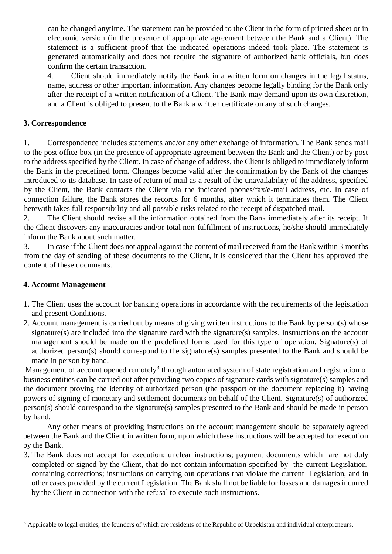can be changed anytime. The statement can be provided to the Client in the form of printed sheet or in electronic version (in the presence of appropriate agreement between the Bank and a Client). The statement is a sufficient proof that the indicated operations indeed took place. The statement is generated automatically and does not require the signature of authorized bank officials, but does confirm the certain transaction.

4. Client should immediately notify the Bank in a written form on changes in the legal status, name, address or other important information. Any changes become legally binding for the Bank only after the receipt of a written notification of a Client. The Bank may demand upon its own discretion, and a Client is obliged to present to the Bank a written certificate on any of such changes.

### **3. Correspondence**

1. Correspondence includes statements and/or any other exchange of information. The Bank sends mail to the post office box (in the presence of appropriate agreement between the Bank and the Client) or by post to the address specified by the Client. In case of change of address, the Client is obliged to immediately inform the Bank in the predefined form. Changes become valid after the confirmation by the Bank of the changes introduced to its database. In case of return of mail as a result of the unavailability of the address, specified by the Client, the Bank contacts the Client via the indicated phones/fax/e-mail address, etc. In case of connection failure, the Bank stores the records for 6 months, after which it terminates them. The Client herewith takes full responsibility and all possible risks related to the receipt of dispatched mail.

2. The Client should revise all the information obtained from the Bank immediately after its receipt. If the Client discovers any inaccuracies and/or total non-fulfillment of instructions, he/she should immediately inform the Bank about such matter.

3. In case if the Client does not appeal against the content of mail received from the Bank within 3 months from the day of sending of these documents to the Client, it is considered that the Client has approved the content of these documents.

# **4. Account Management**

1

- 1. The Client uses the account for banking operations in accordance with the requirements of the legislation and present Conditions.
- 2. Account management is carried out by means of giving written instructions to the Bank by person(s) whose signature(s) are included into the signature card with the signature(s) samples. Instructions on the account management should be made on the predefined forms used for this type of operation. Signature(s) of authorized person(s) should correspond to the signature(s) samples presented to the Bank and should be made in person by hand.

Management of account opened remotely<sup>3</sup> through automated system of state registration and registration of business entities can be carried out after providing two copies of signature cards with signature(s) samples and the document proving the identity of authorized person (the passport or the document replacing it) having powers of signing of monetary and settlement documents on behalf of the Client. Signature(s) of authorized person(s) should correspond to the signature(s) samples presented to the Bank and should be made in person by hand.

Any other means of providing instructions on the account management should be separately agreed between the Bank and the Client in written form, upon which these instructions will be accepted for execution by the Bank.

3. The Bank does not accept for execution: unclear instructions; payment documents which are not duly completed or signed by the Client, that do not contain information specified by the current Legislation, containing corrections; instructions on carrying out operations that violate the current Legislation, and in other cases provided by the current Legislation. The Bank shall not be liable for losses and damages incurred by the Client in connection with the refusal to execute such instructions.

<sup>&</sup>lt;sup>3</sup> Applicable to legal entities, the founders of which are residents of the Republic of Uzbekistan and individual enterpreneurs.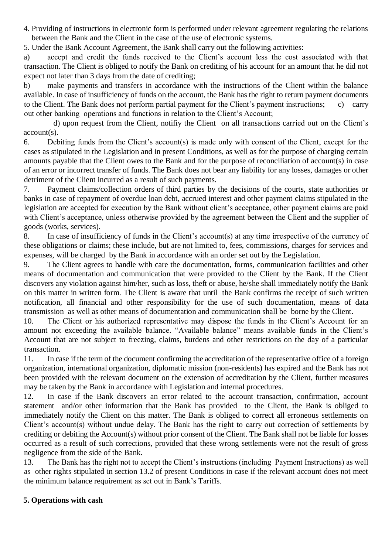4. Providing of instructions in electronic form is performed under relevant agreement regulating the relations between the Bank and the Client in the case of the use of electronic systems.

5. Under the Bank Account Agreement, the Bank shall carry out the following activities:

a) accept and credit the funds received to the Client's account less the cost associated with that transaction. The Client is obliged to notify the Bank on crediting of his account for an amount that he did not expect not later than 3 days from the date of crediting;

b) make payments and transfers in accordance with the instructions of the Client within the balance available. In case of insufficiency of funds on the account, the Bank has the right to return payment documents to the Client. The Bank does not perform partial payment for the Client's payment instructions; c) carry out other banking operations and functions in relation to the Client's Account;

 d) upon request from the Client, notifiy the Client on all transactions carried out on the Client's account(s).

6. Debiting funds from the Client's account(s) is made only with consent of the Client, except for the cases as stipulated in the Legislation and in present Conditions, as well as for the purpose of charging certain amounts payable that the Client owes to the Bank and for the purpose of reconciliation of account(s) in case of an error or incorrect transfer of funds. The Bank does not bear any liability for any losses, damages or other detriment of the Client incurred as a result of such payments.

7. Payment claims/collection orders of third parties by the decisions of the courts, state authorities or banks in case of repayment of overdue loan debt, accrued interest and other payment claims stipulated in the legislation are accepted for execution by the Bank without client's acceptance, other payment claims are paid with Client's acceptance, unless otherwise provided by the agreement between the Client and the supplier of goods (works, services).

8. In case of insufficiency of funds in the Client's account(s) at any time irrespective of the currency of these obligations or claims; these include, but are not limited to, fees, commissions, charges for services and expenses, will be charged by the Bank in accordance with an order set out by the Legislation.

9. The Client agrees to handle with care the documentation, forms, communication facilities and other means of documentation and communication that were provided to the Client by the Bank. If the Client discovers any violation against him/her, such as loss, theft or abuse, he/she shall immediately notify the Bank on this matter in written form. The Client is aware that until the Bank confirms the receipt of such written notification, all financial and other responsibility for the use of such documentation, means of data transmission as well as other means of documentation and communication shall be borne by the Client.

10. The Client or his authorized representative may dispose the funds in the Client's Account for an amount not exceeding the available balance. "Available balance" means available funds in the Client's Account that are not subject to freezing, claims, burdens and other restrictions on the day of a particular transaction.

11. In case if the term of the document confirming the accreditation of the representative office of a foreign organization, international organization, diplomatic mission (non-residents) has expired and the Bank has not been provided with the relevant document on the extension of accreditation by the Client, further measures may be taken by the Bank in accordance with Legislation and internal procedures.

12. In case if the Bank discovers an error related to the account transaction, confirmation, account statement and/or other information that the Bank has provided to the Client, the Bank is obliged to immediately notify the Client on this matter. The Bank is obliged to correct all erroneous settlements on Client's account(s) without undue delay. The Bank has the right to carry out correction of settlements by crediting or debiting the Account(s) without prior consent of the Client. The Bank shall not be liable for losses occurred as a result of such corrections, provided that these wrong settlements were not the result of gross negligence from the side of the Bank.

13. The Bank has the right not to accept the Client's instructions (including Payment Instructions) as well as other rights stipulated in section 13.2 of present Conditions in case if the relevant account does not meet the minimum balance requirement as set out in Bank's Tariffs.

# **5. Operations with cash**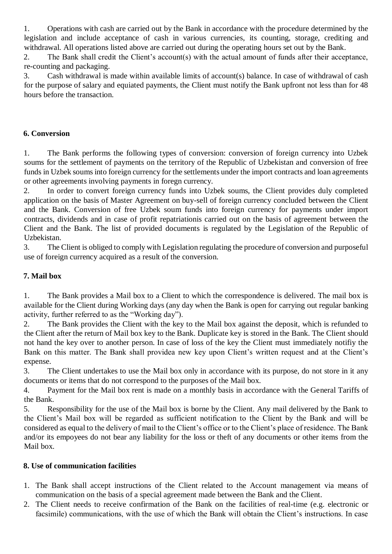1. Operations with cash are carried out by the Bank in accordance with the procedure determined by the legislation and include acceptance of cash in various currencies, its counting, storage, crediting and withdrawal. All operations listed above are carried out during the operating hours set out by the Bank.

2. The Bank shall credit the Client's account(s) with the actual amount of funds after their acceptance, re-counting and packaging.

3. Cash withdrawal is made within available limits of account(s) balance. In case of withdrawal of cash for the purpose of salary and equiated payments, the Client must notify the Bank upfront not less than for 48 hours before the transaction.

### **6. Conversion**

1. The Bank performs the following types of conversion: conversion of foreign currency into Uzbek soums for the settlement of payments on the territory of the Republic of Uzbekistan and conversion of free funds in Uzbek soums into foreign currency for the settlements under the import contracts and loan agreements or other agreements involving payments in foregn currency.

2. In order to convert foreign currency funds into Uzbek soums, the Client provides duly completed application on the basis of Master Agreement on buy-sell of foreign currency concluded between the Client and the Bank. Conversion of free Uzbek soum funds into foreign currency for payments under import contracts, dividends and in case of profit repatriationis carried out on the basis of agreement between the Client and the Bank. The list of provided documents is regulated by the Legislation of the Republic of Uzbekistan.

3. The Client is obliged to comply with Legislation regulating the procedure of conversion and purposeful use of foreign currency acquired as a result of the conversion.

### **7. Mail box**

1. The Bank provides a Mail box to a Client to which the correspondence is delivered. The mail box is available for the Client during Working days (any day when the Bank is open for carrying out regular banking activity, further referred to as the "Working day").

2. The Bank provides the Client with the key to the Mail box against the deposit, which is refunded to the Client after the return of Mail box key to the Bank. Duplicate key is stored in the Bank. The Client should not hand the key over to another person. In case of loss of the key the Client must immediately notifiy the Bank on this matter. The Bank shall providea new key upon Client's written request and at the Client's expense.

3. The Client undertakes to use the Mail box only in accordance with its purpose, do not store in it any documents or items that do not correspond to the purposes of the Mail box.

4. Payment for the Mail box rent is made on a monthly basis in accordance with the General Tariffs of the Bank.

5. Responsibility for the use of the Mail box is borne by the Client. Any mail delivered by the Bank to the Client's Mail box will be regarded as sufficient notification to the Client by the Bank and will be considered as equal to the delivery of mail to the Client's office or to the Client's place of residence. The Bank and/or its empoyees do not bear any liability for the loss or theft of any documents or other items from the Mail box.

### **8. Use of communication facilities**

- 1. The Bank shall accept instructions of the Client related to the Account management via means of communication on the basis of a special agreement made between the Bank and the Client.
- 2. The Client needs to receive confirmation of the Bank on the facilities of real-time (e.g. electronic or facsimile) communications, with the use of which the Bank will obtain the Client's instructions. In case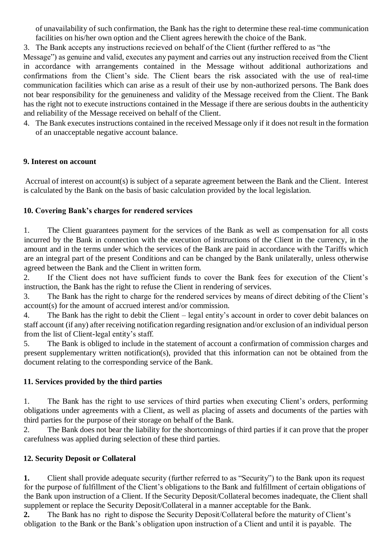of unavailability of such confirmation, the Bank has the right to determine these real-time communication facilities on his/her own option and the Client agrees herewith the choice of the Bank.

3. The Bank accepts any instructions recieved on behalf of the Client (further reffered to as "the

Message") as genuine and valid, executes any payment and carries out any instruction received from the Client in accordance with arrangements contained in the Message without additional authorizations and confirmations from the Client's side. The Client bears the risk associated with the use of real-time communication facilities which can arise as a result of their use by non-authorized persons. The Bank does not bear responsibility for the genuineness and validity of the Message received from the Client. The Bank has the right not to execute instructions contained in the Message if there are serious doubts in the authenticity and reliability of the Message received on behalf of the Client.

4. The Bank executes instructions contained in the received Message only if it does not result in the formation of an unacceptable negative account balance.

# **9. Interest on account**

Accrual of interest on account(s) is subject of a separate agreement between the Bank and the Client. Interest is calculated by the Bank on the basis of basic calculation provided by the local legislation.

### **10. Covering Bank's charges for rendered services**

1. The Client guarantees payment for the services of the Bank as well as compensation for all costs incurred by the Bank in connection with the execution of instructions of the Client in the currency, in the amount and in the terms under which the services of the Bank are paid in accordance with the Tariffs which are an integral part of the present Conditions and can be changed by the Bank unilaterally, unless otherwise agreed between the Bank and the Client in written form.

2. If the Client does not have sufficient funds to cover the Bank fees for execution of the Client's instruction, the Bank has the right to refuse the Client in rendering of services.

3. The Bank has the right to charge for the rendered services by means of direct debiting of the Client's account(s) for the amount of accrued interest and/or commission.

4. The Bank has the right to debit the Client – legal entity's account in order to cover debit balances on staff account (if any) after receiving notification regarding resignation and/or exclusion of an individual person from the list of Client-legal entity's staff.

5. The Bank is obliged to include in the statement of account a confirmation of commission charges and present supplementary written notification(s), provided that this information can not be obtained from the document relating to the corresponding service of the Bank.

### **11. Services provided by the third parties**

1. The Bank has the right to use services of third parties when executing Client's orders, performing obligations under agreements with a Client, as well as placing of assets and documents of the parties with third parties for the purpose of their storage on behalf of the Bank.

2. The Bank does not bear the liability for the shortcomings of third parties if it can prove that the proper carefulness was applied during selection of these third parties.

# **12. Security Deposit or Collateral**

**1.** Client shall provide adequate security (further referred to as "Security") to the Bank upon its request for the purpose of fulfillment of the Client's obligations to the Bank and fulfillment of certain obligations of the Bank upon instruction of a Client. If the Security Deposit/Collateral becomes inadequate, the Client shall supplement or replace the Security Deposit/Collateral in a manner acceptable for the Bank.

**2.** The Bank has no right to dispose the Security Deposit/Collateral before the maturity of Client's obligation to the Bank or the Bank's obligation upon instruction of a Client and until it is payable. The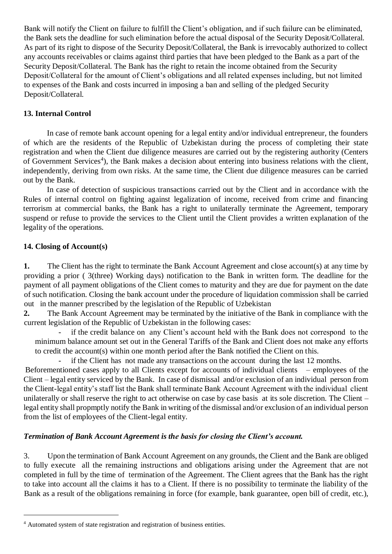Bank will notify the Client on failure to fulfill the Client's obligation, and if such failure can be eliminated, the Bank sets the deadline for such elimination before the actual disposal of the Security Deposit/Collateral. As part of its right to dispose of the Security Deposit/Collateral, the Bank is irrevocably authorized to collect any accounts receivables or claims against third parties that have been pledged to the Bank as a part of the Security Deposit/Collateral. The Bank has the right to retain the income obtained from the Security Deposit/Collateral for the amount of Client's obligations and all related expenses including, but not limited to expenses of the Bank and costs incurred in imposing a ban and selling of the pledged Security Deposit/Collateral.

### **13. Internal Control**

In case of remote bank account opening for a legal entity and/or individual entrepreneur, the founders of which are the residents of the Republic of Uzbekistan during the process of completing their state registration and when the Client due diligence measures are carried out by the registering authority (Centers of Government Services<sup>4</sup>), the Bank makes a decision about entering into business relations with the client, independently, deriving from own risks. At the same time, the Client due diligence measures can be carried out by the Bank.

In case of detection of suspicious transactions carried out by the Client and in accordance with the Rules of internal control on fighting against legalization of income, received from crime and financing terrorism at commercial banks, the Bank has a right to unilaterally terminate the Agreement, temporary suspend or refuse to provide the services to the Client until the Client provides a written explanation of the legality of the operations.

### **14. Closing of Account(s)**

1

**1.** The Client has the right to terminate the Bank Account Agreement and close account(s) at any time by providing a prior ( 3(three) Working days) notification to the Bank in written form. The deadline for the payment of all payment obligations of the Client comes to maturity and they are due for payment on the date of such notification. Closing the bank account under the procedure of liquidation commission shall be carried out in the manner prescribed by the legislation of the Republic of Uzbekistan

**2.** The Bank Account Agreement may be terminated by the initiative of the Bank in compliance with the current legislation of the Republic of Uzbekistan in the following cases:

if the credit balance on any Client's account held with the Bank does not correspond to the minimum balance amount set out in the General Tariffs of the Bank and Client does not make any efforts to credit the account(s) within one month period after the Bank notified the Client on this.

if the Client has not made any transactions on the account during the last 12 months.

Beforementioned cases apply to all Clients except for accounts of individual clients – employees of the Client – legal entity serviced by the Bank. In case of dismissal and/or exclusion of an individual person from the Client-legal entity's staff list the Bank shall terminate Bank Account Agreement with the individual client unilaterally or shall reserve the right to act otherwise on case by case basis at its sole discretion. The Client – legal entity shall propmptly notify the Bank in writing of the dismissal and/or exclusion of an individual person from the list of employees of the Client-legal entity.

# *Termination of Bank Account Agreement is the basis for closing the Client's account.*

3. Upon the termination of Bank Account Agreement on any grounds, the Client and the Bank are obliged to fully execute all the remaining instructions and obligations arising under the Agreement that are not completed in full by the time of termination of the Agreement. The Client agrees that the Bank has the right to take into account all the claims it has to a Client. If there is no possibility to terminate the liability of the Bank as a result of the obligations remaining in force (for example, bank guarantee, open bill of credit, etc.),

<sup>4</sup> Automated system of state registration and registration of business entities.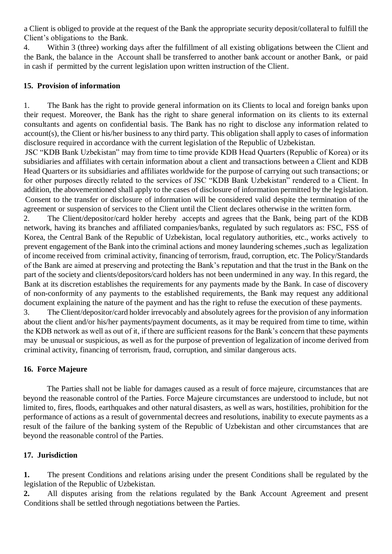a Client is obliged to provide at the request of the Bank the appropriate security deposit/collateral to fulfill the Client's obligations to the Bank.

4. Within 3 (three) working days after the fulfillment of all existing obligations between the Client and the Bank, the balance in the Account shall be transferred to another bank account or another Bank, or paid in cash if permitted by the current legislation upon written instruction of the Client.

#### **15. Provision of information**

1. The Bank has the right to provide general information on its Clients to local and foreign banks upon their request. Moreover, the Bank has the right to share general information on its clients to its external consultants and agents on confidential basis. The Bank has no right to disclose any information related to account(s), the Client or his/her business to any third party. This obligation shall apply to cases of information disclosure required in accordance with the current legislation of the Republic of Uzbekistan.

JSC "KDB Bank Uzbekistan" may from time to time provide KDB Head Quarters (Republic of Korea) or its subsidiaries and affiliates with certain information about a client and transactions between a Client and KDB Head Quarters or its subsidiaries and affiliates worldwide for the purpose of carrying out such transactions; or for other purposes directly related to the services of JSC "KDB Bank Uzbekistan" rendered to a Client. In addition, the abovementioned shall apply to the cases of disclosure of information permitted by the legislation. Consent to the transfer or disclosure of information will be considered valid despite the termination of the agreement or suspension of services to the Client until the Client declares otherwise in the written form.

2. The Client/depositor/card holder hereby accepts and agrees that the Bank, being part of the KDB network, having its branches and affiliated companies/banks, regulated by such regulators as: FSC, FSS of Korea, the Central Bank of the Republic of Uzbekistan, local regulatory authorities, etc., works actively to prevent engagement of the Bank into the criminal actions and money laundering schemes ,such as legalization of income received from criminal activity, financing of terrorism, fraud, corruption, etc. The Policy/Standards of the Bank are aimed at preserving and protecting the Bank's reputation and that the trust in the Bank on the part of the society and clients/depositors/card holders has not been undermined in any way. In this regard, the Bank at its discretion establishes the requirements for any payments made by the Bank. In case of discovery of non-conformity of any payments to the established requirements, the Bank may request any additional document explaining the nature of the payment and has the right to refuse the execution of these payments.

3. The Client/depositor/card holder irrevocably and absolutely agrees for the provision of any information about the client and/or his/her payments/payment documents, as it may be required from time to time, within the KDB network as well as out of it, if there are sufficient reasons for the Bank's concern that these payments may be unusual or suspicious, as well as for the purpose of prevention of legalization of income derived from criminal activity, financing of terrorism, fraud, corruption, and similar dangerous acts.

### **16. Force Majeure**

The Parties shall not be liable for damages caused as a result of force majeure, circumstances that are beyond the reasonable control of the Parties. Force Majeure circumstances are understood to include, but not limited to, fires, floods, earthquakes and other natural disasters, as well as wars, hostilities, prohibition for the performance of actions as a result of governmental decrees and resolutions, inability to execute payments as a result of the failure of the banking system of the Republic of Uzbekistan and other circumstances that are beyond the reasonable control of the Parties.

### **17. Jurisdiction**

**1.** The present Conditions and relations arising under the present Conditions shall be regulated by the legislation of the Republic of Uzbekistan.

**2.** All disputes arising from the relations regulated by the Bank Account Agreement and present Conditions shall be settled through negotiations between the Parties.